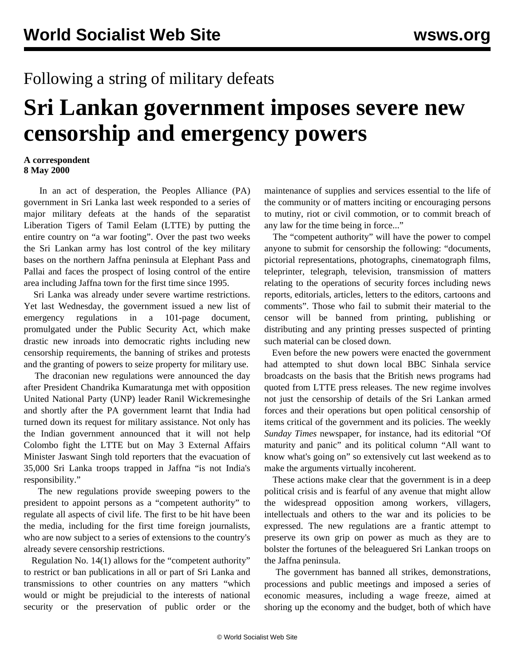## Following a string of military defeats

## **Sri Lankan government imposes severe new censorship and emergency powers**

## **A correspondent 8 May 2000**

 In an act of desperation, the Peoples Alliance (PA) government in Sri Lanka last week responded to a series of major military defeats at the hands of the separatist Liberation Tigers of Tamil Eelam (LTTE) by putting the entire country on "a war footing". Over the past two weeks the Sri Lankan army has lost control of the key military bases on the northern Jaffna peninsula at Elephant Pass and Pallai and faces the prospect of losing control of the entire area including Jaffna town for the first time since 1995.

 Sri Lanka was already under severe wartime restrictions. Yet last Wednesday, the government issued a new list of emergency regulations in a 101-page document, promulgated under the Public Security Act, which make drastic new inroads into democratic rights including new censorship requirements, the banning of strikes and protests and the granting of powers to seize property for military use.

 The draconian new regulations were announced the day after President Chandrika Kumaratunga met with opposition United National Party (UNP) leader Ranil Wickremesinghe and shortly after the PA government learnt that India had turned down its request for military assistance. Not only has the Indian government announced that it will not help Colombo fight the LTTE but on May 3 External Affairs Minister Jaswant Singh told reporters that the evacuation of 35,000 Sri Lanka troops trapped in Jaffna "is not India's responsibility."

 The new regulations provide sweeping powers to the president to appoint persons as a "competent authority" to regulate all aspects of civil life. The first to be hit have been the media, including for the first time foreign journalists, who are now subject to a series of extensions to the country's already severe censorship restrictions.

 Regulation No. 14(1) allows for the "competent authority" to restrict or ban publications in all or part of Sri Lanka and transmissions to other countries on any matters "which would or might be prejudicial to the interests of national security or the preservation of public order or the maintenance of supplies and services essential to the life of the community or of matters inciting or encouraging persons to mutiny, riot or civil commotion, or to commit breach of any law for the time being in force..."

 The "competent authority" will have the power to compel anyone to submit for censorship the following: "documents, pictorial representations, photographs, cinematograph films, teleprinter, telegraph, television, transmission of matters relating to the operations of security forces including news reports, editorials, articles, letters to the editors, cartoons and comments". Those who fail to submit their material to the censor will be banned from printing, publishing or distributing and any printing presses suspected of printing such material can be closed down.

 Even before the new powers were enacted the government had attempted to shut down local BBC Sinhala service broadcasts on the basis that the British news programs had quoted from LTTE press releases. The new regime involves not just the censorship of details of the Sri Lankan armed forces and their operations but open political censorship of items critical of the government and its policies. The weekly *Sunday Times* newspaper, for instance, had its editorial "Of maturity and panic" and its political column "All want to know what's going on" so extensively cut last weekend as to make the arguments virtually incoherent.

 These actions make clear that the government is in a deep political crisis and is fearful of any avenue that might allow the widespread opposition among workers, villagers, intellectuals and others to the war and its policies to be expressed. The new regulations are a frantic attempt to preserve its own grip on power as much as they are to bolster the fortunes of the beleaguered Sri Lankan troops on the Jaffna peninsula.

 The government has banned all strikes, demonstrations, processions and public meetings and imposed a series of economic measures, including a wage freeze, aimed at shoring up the economy and the budget, both of which have